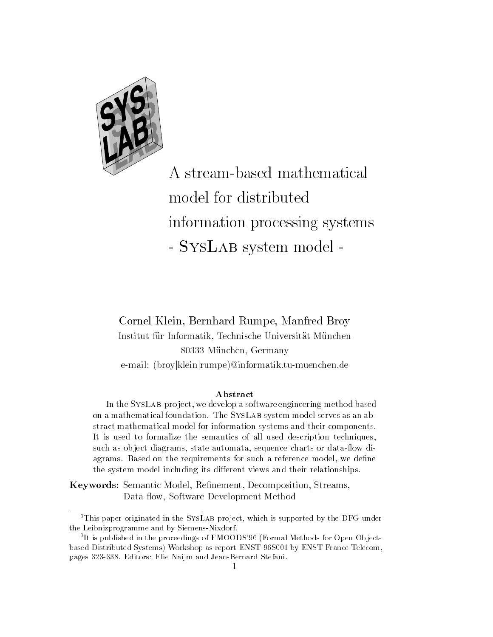

A stream-based mathematical model for distributed information processing systems - System model - System - System - System - System - System - System - System - System - System - System - System - System - System - System - System - System - System - System - System - System - System - System - System

# , which are a second and a second brown as a process of the second process of the second process of the second ur Informatik Technische Universitetet und Universitetet Universitetet und Universitetet und Universitetet und unchen Germany Germany (Controller Germany Controller Germany Controller Germany Controller Germany Controller e-mail: (broy|klein|rumpe)@informatik.tu-muenchen.de

## Abstract

In the SysLab-pro ject we develop <sup>a</sup> software engineering method based on a mathematical foundation  $\mathcal{I}$  is the System model serves as an abstract model in the model in the stract model in the stract of the stract in the stract in the stract of the stract in the stract of the stracture of the stracture of the stracture of the stracture of the straight of the s It is used to formalize the semantics of all used description techniques such as object ulagrams, state automata, sequence charts or uata-now ulagrams Based on the rest requirements for such a reference model were model we denoted the such a reference in the system model including its dierent views and their relationships

ers, we recovered and a semantic model as a semantic model of the streams, and Data-flow, Software Development Method



 $^\circ$  I nis paper originated in the  $\mathbf{SysLAB}$  project, which is supported by the DFG under  $^\circ$ the Leibnizprogramme and by SiemensNixdorf

It is published in the proceedings of FMOODS 90 (Formal Methods for Open Object-  $\,$ parameter and the Systems' Community Construction of the Community Community Community Community Systems and C pages in 1970 in 1970 and 1980 in 1980 in 1980 in 1980 in 1980 in 1980 in 1980 in 1980 in 1980 in 1980 in 1980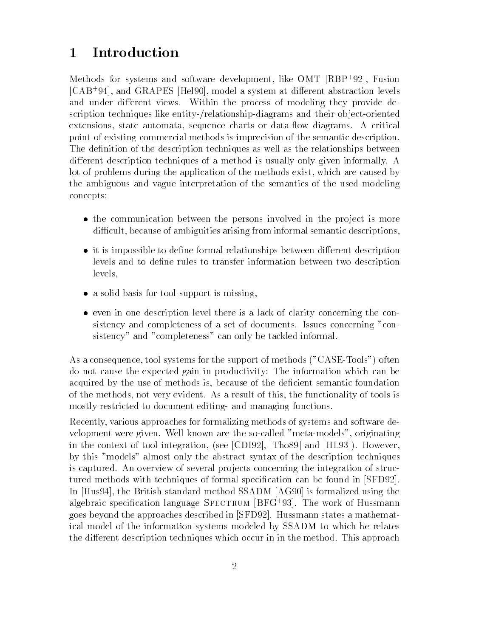### $\mathbf 1$ Introduction

Methods for systems and software development, like  $OM1$   $(RBF^{\ast}92)$ , fusion CAB and GRAPES Hel model a system at dierent abstraction levels and under different views. Within the process of modeling they provide description techniques like entity-/relationship-diagrams and their object-oriented extensions, state automata, sequence charts or data-flow diagrams. A critical point of existing commercial methods is imprecision of the semantic description The definition of the description techniques as well as the relationships between different description techniques of a method is usually only given informally. A lot of problems during the application of the methods exist, which are caused by the ambiguous and vague interpretation of the semantics of the used modeling concepts

- the communication between the persons involved in the pro ject is more difficult, because of ambiguities arising from informal semantic descriptions.
- it is impossible to de
ne formal relationships between dierent description levels and to define rules to transfer information between two description levels
- a solid basis for the support is missing in the support is missing to the support of  $\mathcal{A}$  is a support of  $\mathcal{A}$  is a support of  $\mathcal{A}$  is a support of  $\mathcal{A}$  is a support of  $\mathcal{A}$  is a support of  $\mathcal{A}$  is
- even in one description level there is a lack of clarity concerning the con sistency and completeness of a set of documents. Issues concerning "consistency" and "completeness" can only be tackled informal.

as a consequence to consequence the support of methods  $\alpha$  is the support of  $\alpha$ do not cause the expected gain in productivity: The information which can be acquired by the use of methods is, because of the deficient semantic foundation of the methods not very evident As a result of this the functionality of tools is mostly restricted to document editing and managing functions.

Recently, various approaches for formalizing methods of systems and software development were given. Well known are the so-called "meta-models", originating in the context of the context  $\pi$  . The context  $\alpha$  is the HL  $\alpha$  integration  $\beta$  that  $\beta$  is the  $\beta$ by this "models" almost only the abstract syntax of the description techniques is captured. An overview of several projects concerning the integration of structured methods with techniques of formal specification can be found in [SFD92]. In  $[Huss4]$ , the British standard method SSADM  $[AG90]$  is formalized using the algebraic specification language SPECTRUM |DFG '90|. The work of Hussmann goes beyond the approaches described in [SFD92]. Hussmann states a mathematical model of the information systems modeled by SSADM to which he relates the different description techniques which occur in in the method. This approach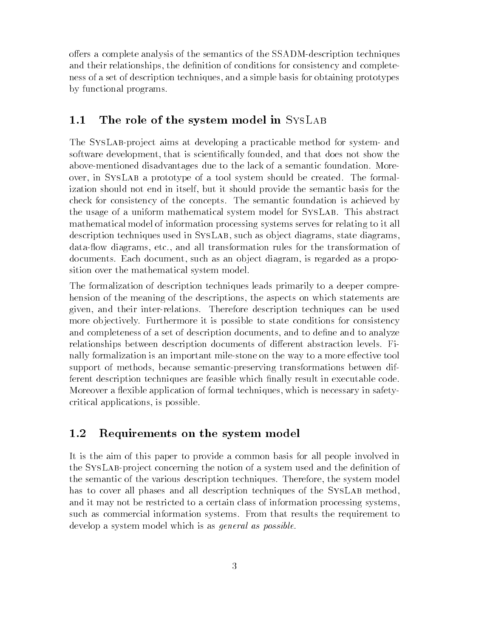offers a complete analysis of the semantics of the SSADM-description techniques and their relationships, the definition of conditions for consistency and completeness of a set of description techniques and a simple basis for obtaining prototypes by functional programs

#### - - -The role of the system model in SysLab

The SYSLAB-project aims at developing a practicable method for system- and software development, that is scientifically founded, and that does not show the above-mentioned disadvantages due to the lack of a semantic foundation. Moreover in SysLab a prototype of a tool system should be created The formal ization should not end in itself, but it should provide the semantic basis for the check for consistency of the concepts The semantic foundation is achieved by the usage of a uniform mathematical system model for SYSLAB. This abstract mathematical model of information processing systems serves for relating to it all description techniques used in SYSLAB, such as object diagrams, state diagrams, data-flow diagrams, etc., and all transformation rules for the transformation of documents. Each document, such as an object diagram, is regarded as a proposition over the mathematical system model

The formalization of description techniques leads primarily to a deeper compre hension of the meaning of the descriptions, the aspects on which statements are given, and their inter-relations. Therefore description techniques can be used more objectively. Furthermore it is possible to state conditions for consistency and completeness of a set of description documents, and to define and to analyze relationships between description documents of different abstraction levels. Finally formalization is an important mile-stone on the way to a more effective tool support of methods, because semantic-preserving transformations between different description techniques are feasible which 
nally result in executable code Moreover a flexible application of formal techniques, which is necessary in safetycritical applications, is possible.

#### - - -Requirements on the system model

It is the aim of this paper to provide a common basis for all people involved in the SYS LAB-project concerning the notion of a system used and the definition of the semantic of the various description techniques. Therefore, the system model has to cover all phases and all description techniques of the SYSLAB method, and it may not be restricted to a certain class of information processing systems such as commercial information systems From that results the requirement to develop a system model which is as *general as possible*.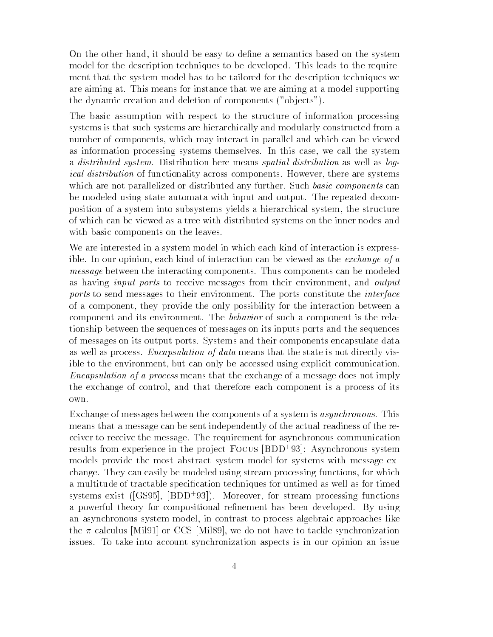On the other hand, it should be easy to define a semantics based on the system model for the description techniques to be developed. This leads to the requirement that the system model has to be tailored for the description techniques we are aiming at This means for instance that we are aiming at a model supporting the dynamic creation and deletion of components ob jects 

The basic assumption with respect to the structure of information processing systems is that such systems are hierarchically and modularly constructed from a number of components, which may interact in parallel and which can be viewed as information processing systems themselves. In this case, we call the system a distributed system Distribution here means spatial distribution as well as log*ical distribution* of functionality across components. However, there are systems which are not parallelized or distributed any further. Such basic components can be modeled using state automata with input and output The repeated decom position of a system into subsystems yields a hierarchical system the structure of which can be viewed as a tree with distributed systems on the inner nodes and with basic components on the leaves.

We are interested in a system model in which each kind of interaction is express ible. In our opinion, each kind of interaction can be viewed as the *exchange of a* message between the interacting components Thus components can be modeled as having *input ports* to receive messages from their environment, and *output* ports to send messages to their environment. The ports constitute the *interface* of a component, they provide the only possibility for the interaction between a component and its environment The behavior of such a component is the rela tionship between the sequences of messages on its inputs ports and the sequences of messages on its output ports Systems and their components encapsulate data as well as process. *Encapsulation of data* means that the state is not directly visible to the environment, but can only be accessed using explicit communication. Encapsulation of a process means that the exchange of a message does not imply the exchange of control and that therefore each component is a process of its own

Exchange of messages between the components of a system is *asynchronous*. This means that a message can be sent independently of the actual readiness of the re ceiver to receive the message The requirement for asynchronous communication results from experience in the project Focus [BDD '93]. Asynchronous system models provide the most abstract system model for systems with message ex change They can easily be modeled using stream processing functions for which a multitude of tractable specification techniques for untimed as well as for timed  $s$  vstems exist ((GS90), (DDD 90)). Moreover, for stream processing functions a powerful theory for compositional refinement has been developed. By using an asynchronous system model, in contrast to process algebraic approaches like the  $\pi$ -calculus [Mil91] or CCS [Mil89], we do not have to tackle synchronization issues To take into account synchronization aspects is in our opinion an issue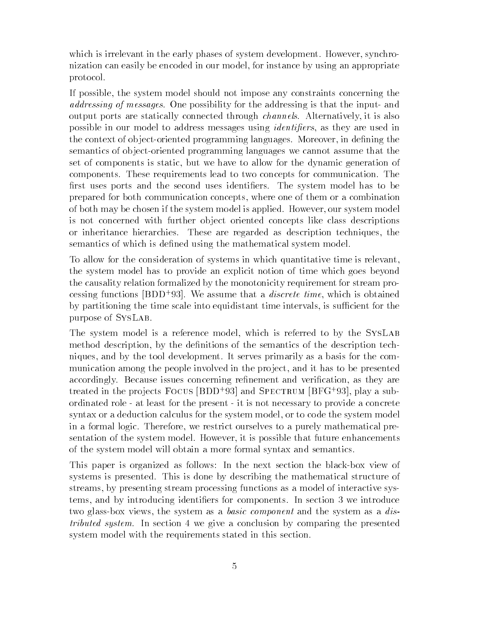which is irrelevant in the early phases of system development. However, synchronization can easily be encoded in our model for instance by using an appropriate protocol

If possible, the system model should not impose any constraints concerning the *addressing of messages.* One possibility for the addressing is that the input- and output ports are statically connected through channels Alternatively it is also possible in our model to address messages using *identifiers*, as they are used in the context of object-oriented programming languages. Moreover, in defining the semantics of object-oriented programming languages we cannot assume that the set of components is static, but we have to allow for the dynamic generation of components These requirements lead to two concepts for communication The first uses ports and the second uses identifiers. The system model has to be prepared for both communication concepts where one of them or a combination of both may be chosen if the system model is applied. However, our system model is not concerned with further ob ject oriented concepts like class descriptions or inheritance hierarchies. These are regarded as description techniques, the semantics of which is defined using the mathematical system model.

To allow for the consideration of systems in which quantitative time is relevant the system model has to provide an explicit notion of time which goes beyond the causality relation formalized by the monotonicity requirement for stream pro cessing functions  $(DDD \cdot 35)$ . We assume that a *uiscrete time*, which is obtained by partitioning the time scale into equidistant time intervals, is sufficient for the purpose of SysLab

The system model is a reference model, which is referred to by the SYSLAB method description, by the definitions of the semantics of the description techniques and by the tool development It serves primarily as a basis for the com munication among the people involved in the project, and it has to be presented accordingly. Because issues concerning refinement and verification, as they are treated in the projects FOCUS (BDD '93) and SPECTRUM (BFG '93), play a subordinated role at least for the present it is not necessary to provide a concrete syntax or a deduction calculus for the system model, or to code the system model in a formal logic Therefore we restrict ourselves to a purely mathematical pre sentation of the system model. However, it is possible that future enhancements of the system model will obtain a more formal syntax and semantics

This paper is organized as follows: In the next section the black-box view of systems is presented This is done by describing the mathematical structure of streams by presenting stream processing functions as a model of interactive sys tems, and by introducing identifiers for components. In section 3 we introduce two glass-box views, the system as a *basic component* and the system as a *dis*tributed system. In section 4 we give a conclusion by comparing the presented system model with the requirements stated in this section.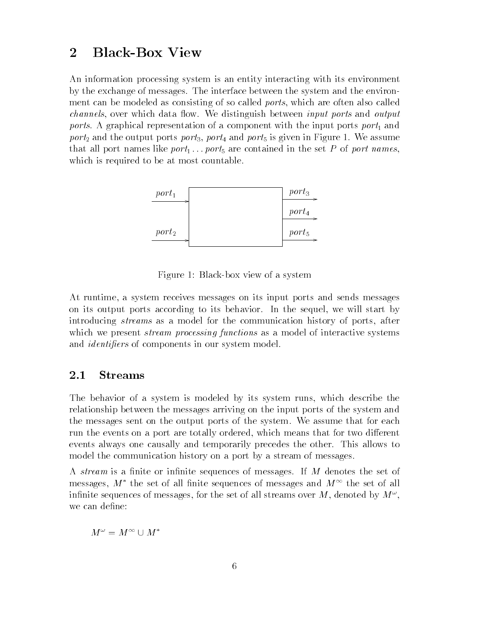### $\overline{2}$ **Black-Box View**

An information processing system is an entity interacting with its environment by the exchange of messages The interface between the system and the environ ment can be modeled as consisting of so called *ports*, which are often also called *channels*, over which data flow. We distinguish between *input ports* and *output* ports A graphical representation of a component with the input ports port- and port<sub>2</sub> and the output ports port<sub>3</sub>, port<sub>4</sub> and port<sub>5</sub> is given in Figure 1. We assume that all port matters methods in the set P of port of the set port-the set  $\alpha$  are contained in the set  $\alpha$ which is required to be at most countable



Figure 1: Black-box view of a system

At runtime a system receives messages on its input ports and sends messages on its output ports according to its behavior. In the sequel, we will start by introducing *streams* as a model for the communication history of ports, after which we present *stream processing functions* as a model of interactive systems and *identifiers* of components in our system model.

#### - - -Streams

The behavior of a system is modeled by its system runs, which describe the relationship between the messages arriving on the input ports of the system and the messages sent on the output ports of the system. We assume that for each run the events on a port are totally ordered, which means that for two different events always one causally and temporarily precedes the other This allows to model the communication history on a port by a stream of messages

A *stream* is a finite or infinite sequences of messages. If M denotes the set of messages,  $M$  - the set of all inflite sequences of messages and  $M^{++}$  the set of all infinite sequences of messages, for the set of all streams over  $M$  , denoted by  $M^{\pm}$ , we can define:

$$
M^\omega = M^\infty \cup M^*
$$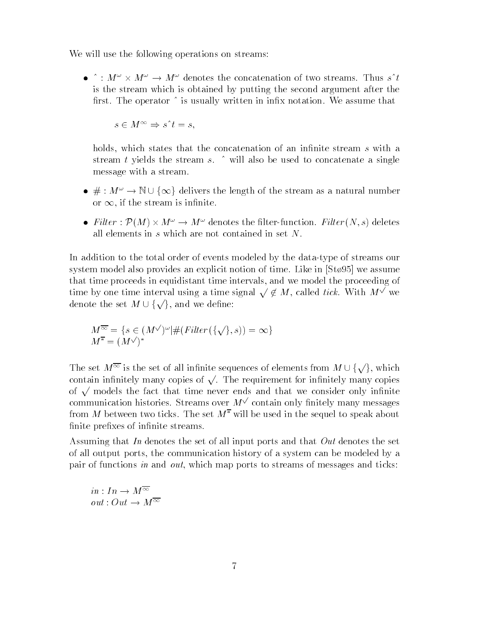We will use the following operations on streams:

 $\bullet$   $\hat{h}: M^{\omega} \times M^{\omega} \rightarrow M^{\omega}$  denotes the concatenation of two streams. Thus  $s^{\hat{h}}t$ is the stream which is obtained by putting the second argument after the first. The operator  $\hat{ }$  is usually written in infix notation. We assume that

 $s \in M^{\infty} \Rightarrow s^{\wedge} t = s$ ,

holds, which states that the concatenation of an infinite stream  $s$  with a stream t yields the stream s.  $\hat{ }$  will also be used to concatenate a single message with a stream message with a stream.<br>  $# : M^{\omega} \to \mathbb{N} \cup \{\infty\}$  delivers the length of the stream as a natural number

- or  $\infty$ , if the stream is infinite.
- Filter:  $\mathcal{P}(M) \times M^{\omega} \to M^{\omega}$  denotes the filter-function. Filter  $(N, s)$  deletes all elements in  $s$  which are not contained in set  $N$ .

In addition to the total order of events modeled by the data-type of streams our system model also provides an explicit notion of time. Like in  $[St \phi 95]$  we assume that time proceeds in equidistant time intervals and we model the proceeding of that the proceeds in equidistant time intervals, and we time by one time interval using a time signal  $\sqrt{\epsilon} M$ , m called tick with the model of the model of the contract of the contract of the contract of the contract of t <u>provided</u> and the contract of the contract of the contract of the contract of the contract of the contract of the contract of the contract of the contract of the contract of the contract of the contract of the contract of that time proceeds in equidist<br>time by one time interval usi<br>denote the set  $M \cup \{\sqrt{\}}$  and denote the set  $M \cup \{\sqrt{\}$ , and we define:

$$
M^{\overline{\infty}} = \{ s \in (M^{\vee})^{\omega} | \#(Filter(\{\vee\}, s)) = \infty \}
$$
  

$$
M^{\overline{\ast}} = (M^{\vee})^*
$$

 $M^* = (M^{\vee})^*$ <br>The set  $M^{\overline{\infty}}$  is the set of all infinite sequences of elements from  $M \cup \{\sqrt{\}}$ , which The set  $M$  is the set of an immute sequences of elements from  $M \cup \{Vf\}$ , which<br>contain infinitely many copies of  $\sqrt{ }$ . The requirement for infinitely many copies contain immetry many copies or  $\sqrt{ }$ . The requirement for immetry many copies<br>of  $\sqrt{ }$  models the fact that time never ends and that we consider only infinite communication histories and communications over Management Management Management Management Management Managem <u>provided</u> and the contract of the contract of the contract of the contract of the contract of the contract of the contract of the contract of the contract of the contract of the contract of the contract of the contract of nitely and nitely many messages of the contact of the contact of the contact of the contact of the contact of the contact of the contact of the contact of the contact of the contact of the contact of the contact of the con from M between two ticks. The set  $M^*$  will be used in the sequel to speak about finite prefixes of infinite streams.

Assuming that In denotes the set of all input ports and that Out denotes the set of all output ports the communication history of a system can be modeled by a pair of functions in and out, which map ports to streams of messages and ticks:

 $in: In \to M^{\overline{\infty}}$  $out: Out \rightarrow M^{\overline{\infty}}$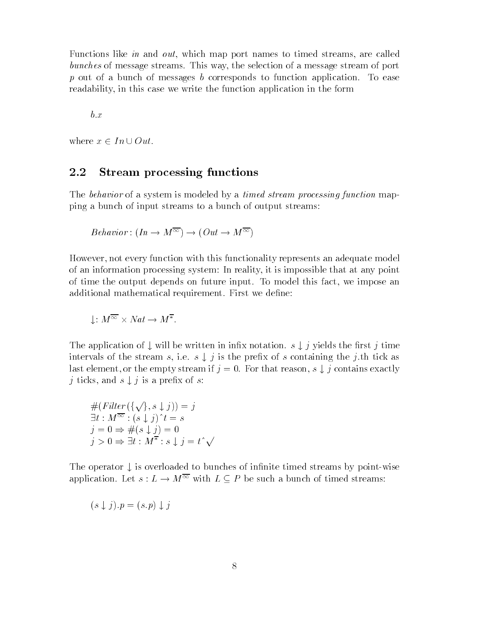Functions like in and out, which map port names to timed streams, are called bunches of message streams. This way, the selection of a message stream of port  $p$  out of a bunch of messages b corresponds to function application. To ease readability in this case we write the function application in the form

 $\sim$   $\sim$   $\sim$   $\sim$ 

where  $x \in In \cup Out$ .

#### - - -Stream processing functions

The behavior of a system is modeled by a timed stream processing function mapping a bunch of input streams to a bunch of output streams

$$
Behavior : (In \to M^{\overline{\infty}}) \to (Out \to M^{\overline{\infty}})
$$

However, not every function with this functionality represents an adequate model of an information processing system In reality it is impossible that at any point of time the output depends on future input. To model this fact, we impose an additional mathematical requirement. First we define:

$$
\downarrow: M^{\overline{\infty}} \times Nat \to M^{\overline{\ast}}.
$$

The application of  $\downarrow$  will be written in infix notation.  $s \downarrow j$  yields the first j time intervals of the stream s, i.e.  $s \downarrow j$  is the prefix of s containing the j.th tick as last element, or the empty stream if  $j=0$ . For that reason,  $s \downarrow j$  contains exactly *j* ticks, and  $s \downarrow j$  is a prefix of s:

$$
#(Filter (\{\sqrt{\}, s \downarrow j)) = j
$$
  
\n
$$
\exists t : M^{\infty} : (s \downarrow j)^{\hat{}}t = s
$$
  
\n
$$
j = 0 \Rightarrow #( s \downarrow j ) = 0
$$
  
\n
$$
j > 0 \Rightarrow \exists t : M^{\overline{\ast}} : s \downarrow j = t^{\hat{}} \sqrt{\phantom{0}}
$$

The operator  $\downarrow$  is overloaded to bunches of infinite timed streams by point-wise application. Let  $s: L \to M^{\overline{\infty}}$  with  $L \subseteq P$  be such a bunch of timed streams:

$$
(s \downarrow j) \cdot p = (s \cdot p) \downarrow j
$$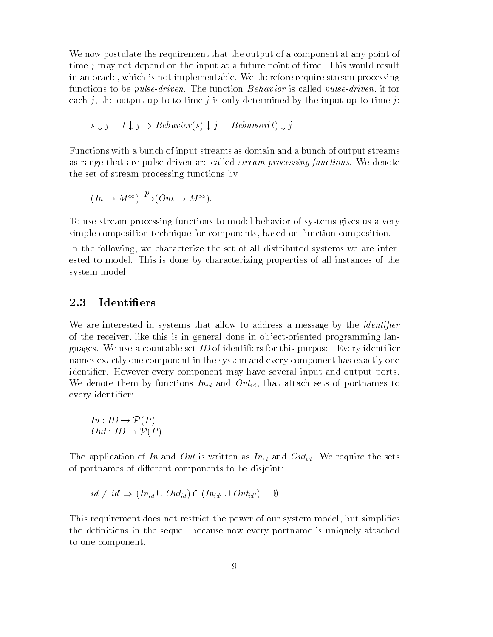We now postulate the requirement that the output of a component at any point of time  $j$  may not depend on the input at a future point of time. This would result in an oracle, which is not implementable. We therefore require stream processing functions to be pulse-driven The function Behavior is called pulse-driven if for each j, the output up to to time j is only determined by the input up to time j:

$$
s \downarrow j = t \downarrow j \Rightarrow Behavior(s) \downarrow j = Behavior(t) \downarrow j
$$

Functions with a bunch of input streams as domain and a bunch of output streams as range that are pulse-driven are called *stream processing functions*. We denote the set of stream processing functions by

$$
(In \to M^{\overline{\infty}}) \xrightarrow{p} (Out \to M^{\overline{\infty}}).
$$

To use stream processing functions to model behavior of systems gives us a very simple composition technique for components, based on function composition.

In the following, we characterize the set of all distributed systems we are interested to model This is done by characterizing properties of all instances of the system model

#### -**Identifiers**

We are interested in systems that allow to address a message by the *identifier* of the receiver, like this is in general done in object-oriented programming languages. We use a countable set  $ID$  of identifiers for this purpose. Every identifier names exactly one component in the system and every component has exactly one identifier. However every component may have several input and output ports. We denote them by functions  $In_{id}$  and  $Out_{id}$ , that attach sets of portnames to every identifier: $In: ID \to \mathcal{P}(P)$ 

$$
In: ID \to \mathcal{P}(P)
$$
  

$$
Out: ID \to \mathcal{P}(P)
$$

The application of In and Out is written as  $In_{id}$  and Out<sub>id</sub>. We require the sets of portnames of different components to be disjoint:

$$
id \neq id' \Rightarrow (In_{id} \cup Out_{id}) \cap (In_{id'} \cup Out_{id'}) = \emptyset
$$

This requirement does not restrict the power of our system model, but simplifies the definitions in the sequel, because now every portname is uniquely attached to one component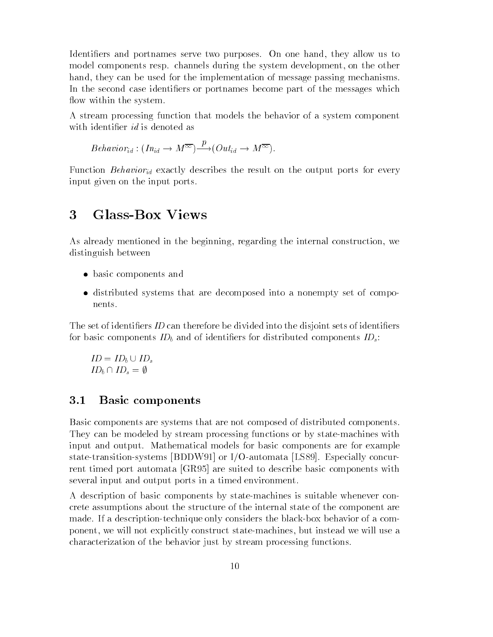Identifiers and portnames serve two purposes. On one hand, they allow us to model components resp. channels during the system development, on the other hand, they can be used for the implementation of message passing mechanisms. In the second case identifiers or portnames become part of the messages which flow within the system.

A stream processing function that models the behavior of a system component with identifier *id* is denoted as

*Behavior*<sub>id</sub> : 
$$
(In_{id} \to M^{\overline{\infty}}) \xrightarrow{p} (Out_{id} \to M^{\overline{\infty}})
$$
.

Function Behavior<sub>id</sub> exactly describes the result on the output ports for every input given on the input ports

#### 3 Glass-Box Views \_\_

As already mentioned in the beginning, regarding the internal construction, we distinguish between

- basic components and components and components and components and components and components and components and
- distributed systems that are decomposed into a nonempty set of compo nents

The set of identifiers *ID* can therefore be divided into the disjoint sets of identifiers for basic components  $ID_b$  and of identifiers for distributed components  $ID_s$ :

$$
ID = ID_b \cup ID_s
$$

$$
ID_b \cap ID_s = \emptyset
$$

#### -Basic components

Basic components are systems that are not composed of distributed components They can be modeled by stream processing functions or by state-machines with input and output Mathematical models for basic components are for example state-transition-systems [BDDW91] or I/O-automata [LS89]. Especially concurrent timed port automata [GR95] are suited to describe basic components with several input and output ports in a timed environment

A description of basic components by statemachines is suitable whenever con crete assumptions about the structure of the internal state of the component are made. If a description-technique only considers the black-box behavior of a component, we will not explicitly construct state-machines, but instead we will use a characterization of the behavior just by stream processing functions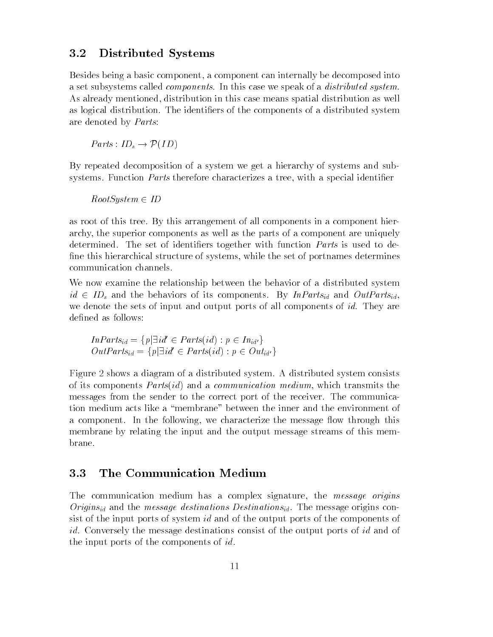# Distributed Systems

Besides being a basic component a component can internally be decomposed into a set subsystems called *components*. In this case we speak of a *distributed system*. As already mentioned, distribution in this case means spatial distribution as well as logical distribution. The identifiers of the components of a distributed system are denoted by *Parts*:

 $Parts: ID_s \rightarrow \mathcal{P}(ID)$ 

By repeated decomposition of a system we get a hierarchy of systems and sub systems. Function *Parts* therefore characterizes a tree, with a special identifier

 $RootSystem \in ID$ 

as root of this tree By this arrangement of all components in a component hier archy the superior components as well as the parts of a component are uniquely determined. The set of identifiers together with function *Parts* is used to define this hierarchical structure of systems, while the set of portnames determines communication channels.

We now examine the relationship between the behavior of a distributed system  $id \in ID_s$  and the behaviors of its components. By  $InParts_{id}$  and  $OutParts_{id}$ , we denote the sets of input and output ports of all components of *id*. They are defined as follows:

$$
InParts_{id} = \{p | \exists id' \in Parts(id) : p \in In_{id'}\}
$$
  

$$
OutParts_{id} = \{p | \exists id' \in Parts(id) : p \in Out_{id'}\}
$$

Figure 2 shows a diagram of a distributed system. A distributed system consists of its communication of the communication medium which the communication medium which the communication of the messages from the sender to the correct port of the receiver The communica tion medium acts like a "membrane" between the inner and the environment of a component. In the following, we characterize the message flow through this membrane by relating the input and the output message streams of this mem brane

#### -The Communication Medium

The communication medium has a complex signature, the message origins  $Origins_{id}$  and the *message destinations Destinations*<sub>id</sub>. The message origins consist of the input ports of system id and of the output ports of the components of id. Conversely the message destinations consist of the output ports of id and of the input ports of the components of  $id$ .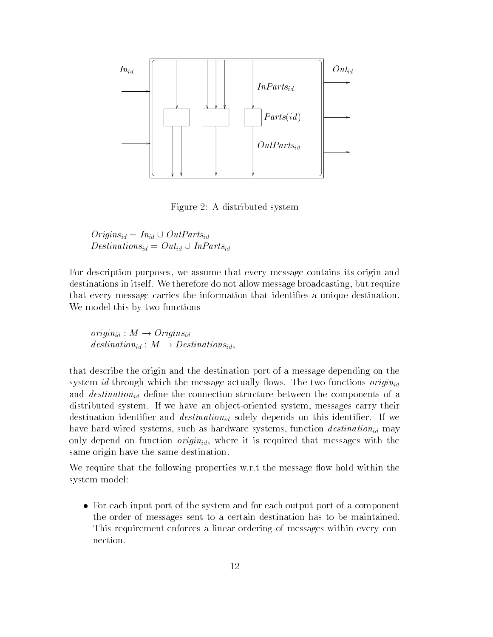

Figure 2: A distributed system

 $Origins_{id} = In_{id} \cup OutParts_{id}$  $Destinations_{id} = Out_{id} \cup InParts_{id}$ 

For description purposes, we assume that every message contains its origin and destinations in itself. We therefore do not allow message broadcasting, but require that every message carries the information that identifies a unique destination. We model this by two functions

 $origin_{id}: M \rightarrow Origins_{id}$ destination<sub>id</sub> :  $M \rightarrow$  Destinations<sub>id</sub>,

that describe the origin and the destination port of a message depending on the system id through which the message actually flows. The two functions origin<sub>id</sub> and *destination*<sub>id</sub> define the connection structure between the components of a distributed system. If we have an object-oriented system, messages carry their destination identifier and *destination*<sub>id</sub> solely depends on this identifier. If we have hard-wired systems, such as hardware systems, function  $\text{destination}_{id}$  may only depend on function  $origin_{id}$ , where it is required that messages with the same origin have the same destination

We require that the following properties w.r.t the message flow hold within the system model

 For each input port of the system and for each output port of a component the order of messages sent to a certain destination has to be maintained This requirement enforces a linear ordering of messages within every con nection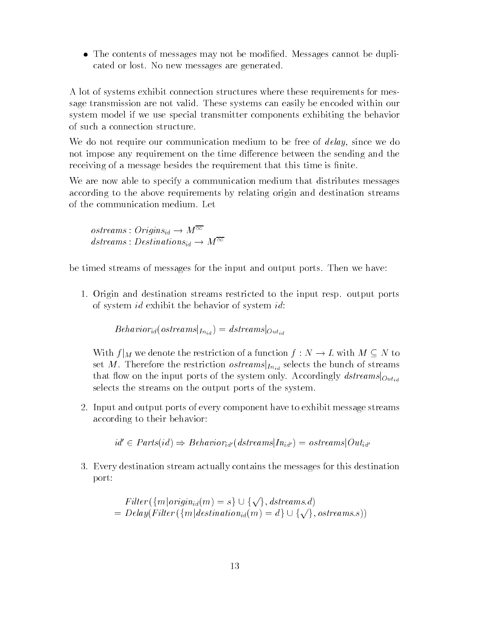The contents of messages may not be modi
ed Messages cannot be dupli cated or lost. No new messages are generated.

A lot of systems exhibit connection structures where these requirements for mes sage transmission are not valid These systems can easily be encoded within our system model if we use special transmitter components exhibiting the behavior of such a connection structure

We do not require our communication medium to be free of  $delay$ , since we do not impose any requirement on the time difference between the sending and the receiving of a message besides the requirement that this time is finite.

We are now able to specify a communication medium that distributes messages according to the above requirements by relating origin and destination streams of the communication medium Let

 $ostreams: Origins_{id} \rightarrow M^{\overline{\infty}}$  $dstreams: Destinations_{id} \rightarrow M^{\overline{\infty}}$ 

be timed streams of messages for the input and output ports Then we have

 Origin and destination streams restricted to the input resp output ports of system id exhibit the behavior of system id:

 $Behavior_{id}(ostream|_{In_{id}}) = \text{dstream}|_{Out_{id}}$ 

With  $f|_M$  we denote the restriction of a function  $f: N \to L$  with  $M \subseteq N$  to set M. Therefore the restriction *ostreams* $\vert_{In_{id}}$  selects the bunch of streams that flow on the input ports of the system only. Accordingly  $dstream|_{Out_{id}}$ selects the streams on the output ports of the system

 Input and output ports of every component have to exhibit message streams according to their behavior

 $id' \in Parts(id) \Rightarrow Behavior_{id'}(dstreams|In_{id'}) = ostreams|Out_{id'}$ 

 Every destination stream actually contains the messages for this destination port

$$
Filter({m|origin_{id}(m) = s} \cup {\{\sqrt}, \text{dstreams.d})
$$
  
= 
$$
Delay(Filter({m|destination_{id}(m) = d} \cup {\{\sqrt}, \text{ostreams.s})})
$$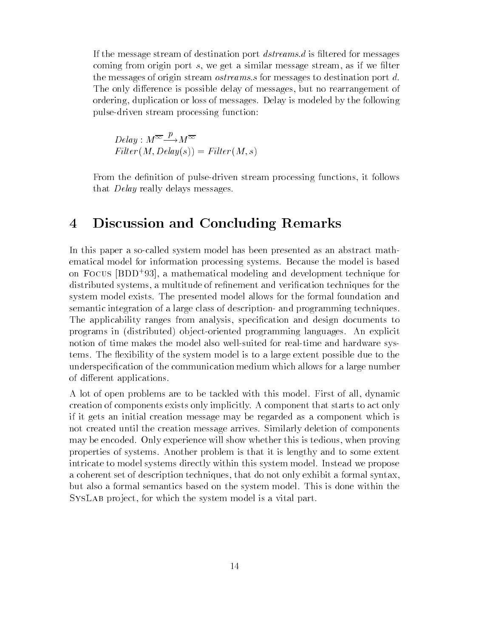If the message stream of destination port dstreams-<sup>d</sup> is 
ltered for messages coming from origin port  $s$ , we get a similar message stream, as if we filter the messages of origin stream ostreams-<sup>s</sup> for messages to destination port <sup>d</sup> The only difference is possible delay of messages, but no rearrangement of ordering, duplication or loss of messages. Delay is modeled by the following pulsedriven stream processing function

$$
Delay: M^{\overline{\infty}} \xrightarrow{p} M^{\overline{\infty}}
$$
  
Filter (M, Delay(s)) = Filter (M, s)

From the definition of pulse-driven stream processing functions, it follows that *Delay* really delays messages.

## $\overline{4}$ Discussion and Concluding Remarks

In this paper a so-called system model has been presented as an abstract mathematical model for information processing systems Because the model is based on Focus BDD a mathematical modeling and development technique for distributed systems, a multitude of refinement and verification techniques for the system model exists The presented model allows for the formal foundation and semantic integration of a large class of description- and programming techniques. The applicability ranges from analysis, specification and design documents to programs in distributed ob jectoriented programming languages An explicit notion of time makes the model also well-suited for real-time and hardware systems. The flexibility of the system model is to a large extent possible due to the underspeci
cation of the communication medium which allows for a large number of different applications.

A lot of open problems are to be tackled with this model. First of all, dynamic creation of components exists only implicitly A component that starts to act only if it gets an initial creation message may be regarded as a component which is not created until the creation message arrives Similarly deletion of components may be encoded. Only experience will show whether this is tedious, when proving properties of systems Another problem is that it is lengthy and to some extent intricate to model systems directly within this system model Instead we propose a coherent set of description techniques, that do not only exhibit a formal syntax, but also a formal semantics based on the system model This is done within the SYSLAB project, for which the system model is a vital part.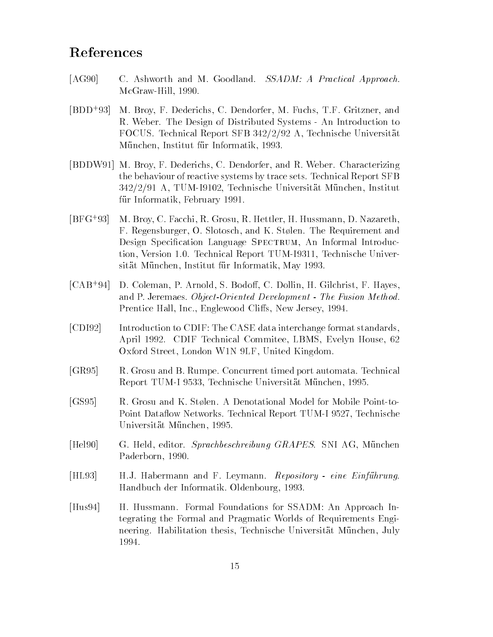# References

- [AG90] C. Ashworth and M. Goodland. SSADM: A Practical Approach. McGraw-Hill, 1990.
- $[BDD+93]$ M. Broy, F. Dederichs, C. Dendorfer, M. Fuchs, T.F. Gritzner, and R. Weber. The Design of Distributed Systems - An Introduction to  $\mathbf{r}$  . The statistical Report SFB  $\mathbf{r}$  and  $\mathbf{r}$  and  $\mathbf{r}$  and  $\mathbf{r}$  are  $\mathbf{r}$  . The statistical  $\mathbf{r}$ ur Institut formatik from the formation final formation of the state of the state of the state of the state of
- [BDDW91] M. Broy, F. Dederichs, C. Dendorfer, and R. Weber. Characterizing the behaviour of reactive systems by trace sets Technical Report SFB A TUMI Technische Universit-at M-unchen Institut f-benzo di terminati informatik February informatik February informatik February informatik February informati
- $[BFG+93]$ M. Broy, C. Facchi, R. Grosu, R. Hettler, H. Hussmann, D. Nazareth, F. Regensburger, O. Slotosch, and K. Stølen. The Requirement and Design Specification Language SPECTRUM, An Informal Introduction, Version 1.0. Technical Report TUM-I9311, Technische Universit-At M-unchen Institut f-At M-unchen Institut f-At M-unchen Institut f-At M-unchen Institut f-At M-unchen In
- $[CAB+94]$ D. Coleman, P. Arnold, S. Bodoff, C. Dollin, H. Gilchrist, F. Hayes, and P Jeremaes Object-Oriented Development - The Fusion Method Prentice Hall, Inc., Englewood Cliffs, New Jersey, 1994.
- [CDI92] Introduction to CDIF: The CASE data interchange format standards, April 1992. CDIF Technical Commitee, LBMS, Evelyn House, 62 Oxford Street, London W1N 9LF, United Kingdom.
- [GR95] R. Grosu and B. Rumpe. Concurrent timed port automata. Technical Report TUMI Technische Universit-at M-unchen
- [GS95] R. Grosu and K. Stølen. A Denotational Model for Mobile Point-to-Point Dataflow Networks. Technical Report TUM-I 9527, Technische unchen Anderen der Stadt und der Stadt und der Stadt und der Stadt und der Stadt und der Stadt und der Stadt u
- Hel G Held editor Sprachbeschreibung GRAPES SNI AG M-unchen Paderborn, 1990.
- is het die die steun van die Franse van die Andrewe van die Sondag van die Sondag van die Sondag van die Sonda Handbuch der Informatik. Oldenbourg, 1993.
- [Hus94] H. Hussmann. Formal Foundations for SSADM: An Approach Integrating the Formal and Pragmatic Worlds of Requirements Engi neering Habilitation thesis Technische Universit-at M-unchen July 1994.